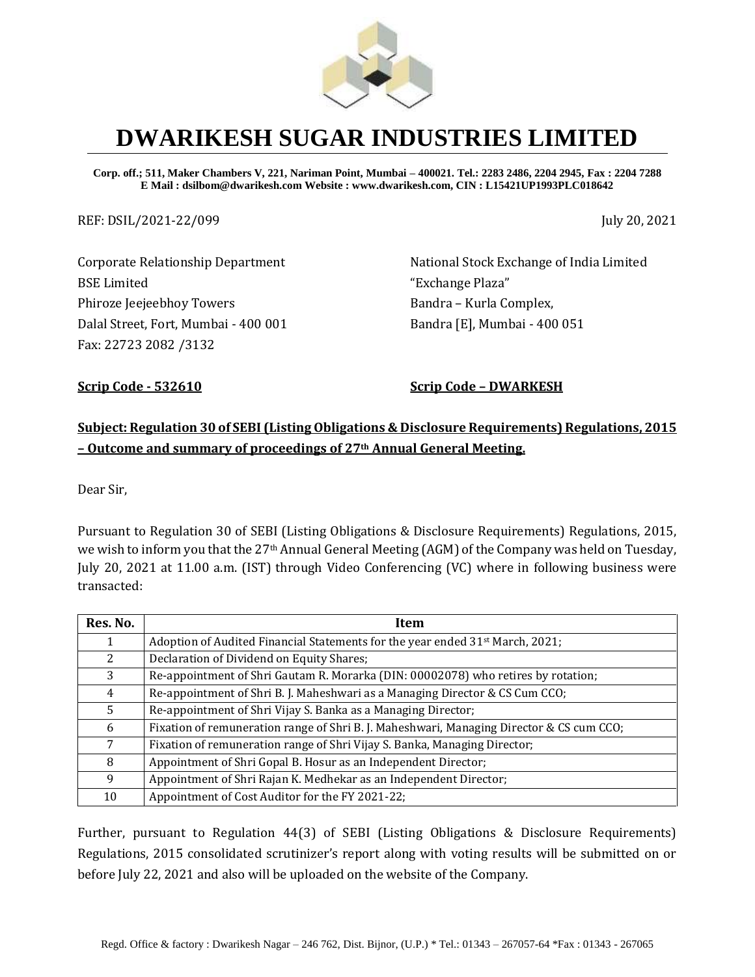

**Corp. off.; 511, Maker Chambers V, 221, Nariman Point, Mumbai – 400021. Tel.: 2283 2486, 2204 2945, Fax : 2204 7288 E Mail : dsilbom@dwarikesh.com Website : www.dwarikesh.com, CIN : L15421UP1993PLC018642**

REF: DSIL/2021-22/099 July 20, 2021

Corporate Relationship Department BSE Limited Phiroze Jeejeebhoy Towers Dalal Street, Fort, Mumbai - 400 001 Fax: 22723 2082 /3132

National Stock Exchange of India Limited "Exchange Plaza" Bandra – Kurla Complex, Bandra [E], Mumbai - 400 051

**Scrip Code - 532610 Scrip Code – DWARKESH**

#### **Subject: Regulation 30 of SEBI (Listing Obligations & Disclosure Requirements) Regulations, 2015 – Outcome and summary of proceedings of 27th Annual General Meeting.**

Dear Sir,

Pursuant to Regulation 30 of SEBI (Listing Obligations & Disclosure Requirements) Regulations, 2015, we wish to inform you that the 27th Annual General Meeting (AGM) of the Company was held on Tuesday, July 20, 2021 at 11.00 a.m. (IST) through Video Conferencing (VC) where in following business were transacted:

| Res. No. | Item                                                                                      |
|----------|-------------------------------------------------------------------------------------------|
|          | Adoption of Audited Financial Statements for the year ended 31 <sup>st</sup> March, 2021; |
| 2        | Declaration of Dividend on Equity Shares;                                                 |
| 3        | Re-appointment of Shri Gautam R. Morarka (DIN: 00002078) who retires by rotation;         |
| 4        | Re-appointment of Shri B. J. Maheshwari as a Managing Director & CS Cum CCO;              |
| 5        | Re-appointment of Shri Vijay S. Banka as a Managing Director;                             |
| 6        | Fixation of remuneration range of Shri B. J. Maheshwari, Managing Director & CS cum CCO;  |
| 7        | Fixation of remuneration range of Shri Vijay S. Banka, Managing Director;                 |
| 8        | Appointment of Shri Gopal B. Hosur as an Independent Director;                            |
| 9        | Appointment of Shri Rajan K. Medhekar as an Independent Director;                         |
| 10       | Appointment of Cost Auditor for the FY 2021-22;                                           |

Further, pursuant to Regulation 44(3) of SEBI (Listing Obligations & Disclosure Requirements) Regulations, 2015 consolidated scrutinizer's report along with voting results will be submitted on or before July 22, 2021 and also will be uploaded on the website of the Company.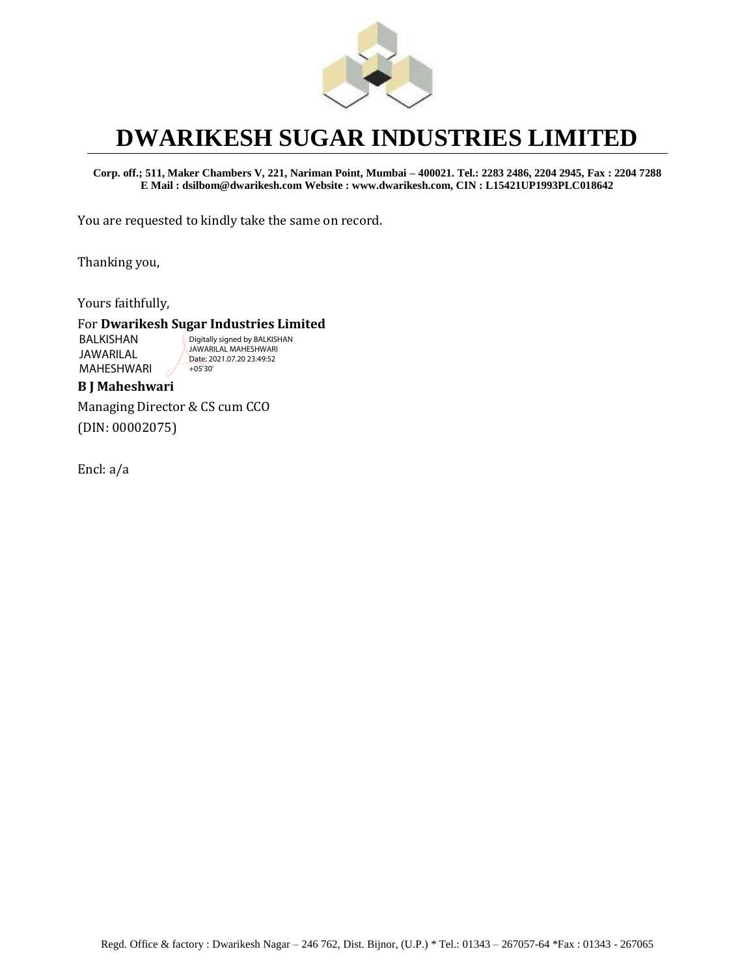

**Corp. off.; 511, Maker Chambers V, 221, Nariman Point, Mumbai – 400021. Tel.: 2283 2486, 2204 2945, Fax : 2204 7288 E Mail : dsilbom@dwarikesh.com Website : www.dwarikesh.com, CIN : L15421UP1993PLC018642**

You are requested to kindly take the same on record.

Thanking you,

Yours faithfully,

#### For **Dwarikesh Sugar Industries Limited**

BALKISHAN JAWARILAL MAHESHWARI

Digitally signed by BALKISHAN JAWARILAL MAHESHWARI Date: 2021.07.20 23:49:52 +05'30'

#### **B J Maheshwari**

Managing Director & CS cum CCO (DIN: 00002075)

Encl: a/a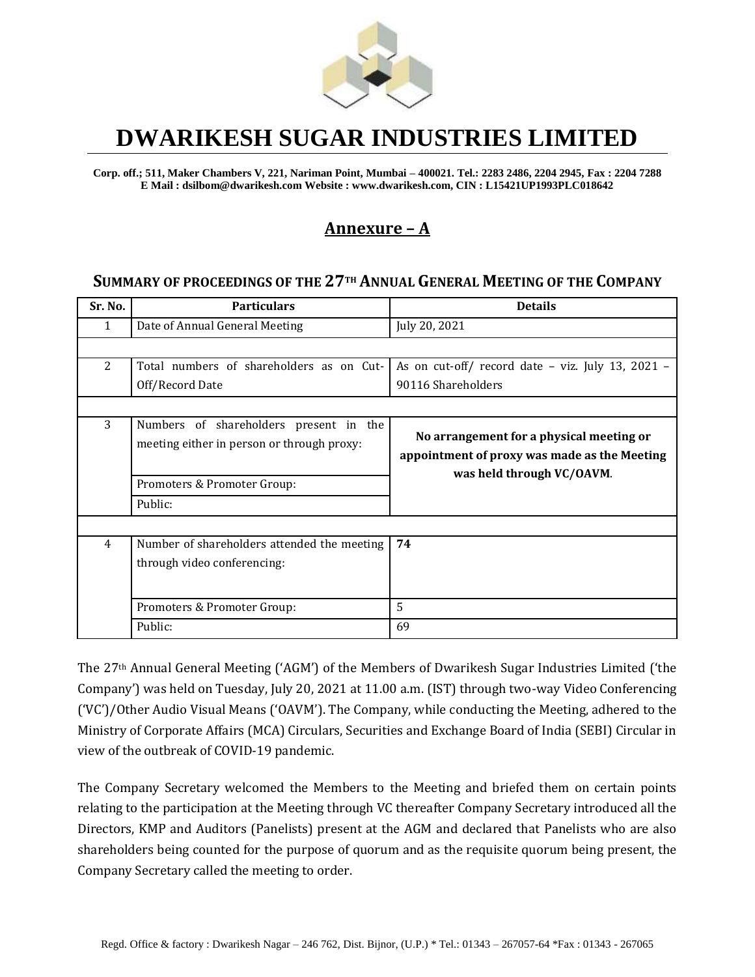

**Corp. off.; 511, Maker Chambers V, 221, Nariman Point, Mumbai – 400021. Tel.: 2283 2486, 2204 2945, Fax : 2204 7288 E Mail : dsilbom@dwarikesh.com Website : www.dwarikesh.com, CIN : L15421UP1993PLC018642**

#### **Annexure – A**

#### **SUMMARY OF PROCEEDINGS OF THE 27TH ANNUAL GENERAL MEETING OF THE COMPANY**

| Sr. No.        | <b>Particulars</b>                                                                   | <b>Details</b>                                                                                                        |  |  |
|----------------|--------------------------------------------------------------------------------------|-----------------------------------------------------------------------------------------------------------------------|--|--|
| 1              | Date of Annual General Meeting                                                       | July 20, 2021                                                                                                         |  |  |
|                |                                                                                      |                                                                                                                       |  |  |
| $\overline{2}$ | Total numbers of shareholders as on Cut-                                             | As on cut-off/ record date - viz. July 13, 2021 -                                                                     |  |  |
|                | Off/Record Date                                                                      | 90116 Shareholders                                                                                                    |  |  |
|                |                                                                                      |                                                                                                                       |  |  |
| 3              | Numbers of shareholders present in the<br>meeting either in person or through proxy: | No arrangement for a physical meeting or<br>appointment of proxy was made as the Meeting<br>was held through VC/OAVM. |  |  |
|                | Promoters & Promoter Group:                                                          |                                                                                                                       |  |  |
|                | Public:                                                                              |                                                                                                                       |  |  |
|                |                                                                                      |                                                                                                                       |  |  |
| 4              | Number of shareholders attended the meeting<br>through video conferencing:           | 74                                                                                                                    |  |  |
|                | Promoters & Promoter Group:                                                          | 5                                                                                                                     |  |  |
|                | Public:                                                                              | 69                                                                                                                    |  |  |

The 27th Annual General Meeting ('AGM') of the Members of Dwarikesh Sugar Industries Limited ('the Company') was held on Tuesday, July 20, 2021 at 11.00 a.m. (IST) through two-way Video Conferencing ('VC')/Other Audio Visual Means ('OAVM'). The Company, while conducting the Meeting, adhered to the Ministry of Corporate Affairs (MCA) Circulars, Securities and Exchange Board of India (SEBI) Circular in view of the outbreak of COVID-19 pandemic.

The Company Secretary welcomed the Members to the Meeting and briefed them on certain points relating to the participation at the Meeting through VC thereafter Company Secretary introduced all the Directors, KMP and Auditors (Panelists) present at the AGM and declared that Panelists who are also shareholders being counted for the purpose of quorum and as the requisite quorum being present, the Company Secretary called the meeting to order.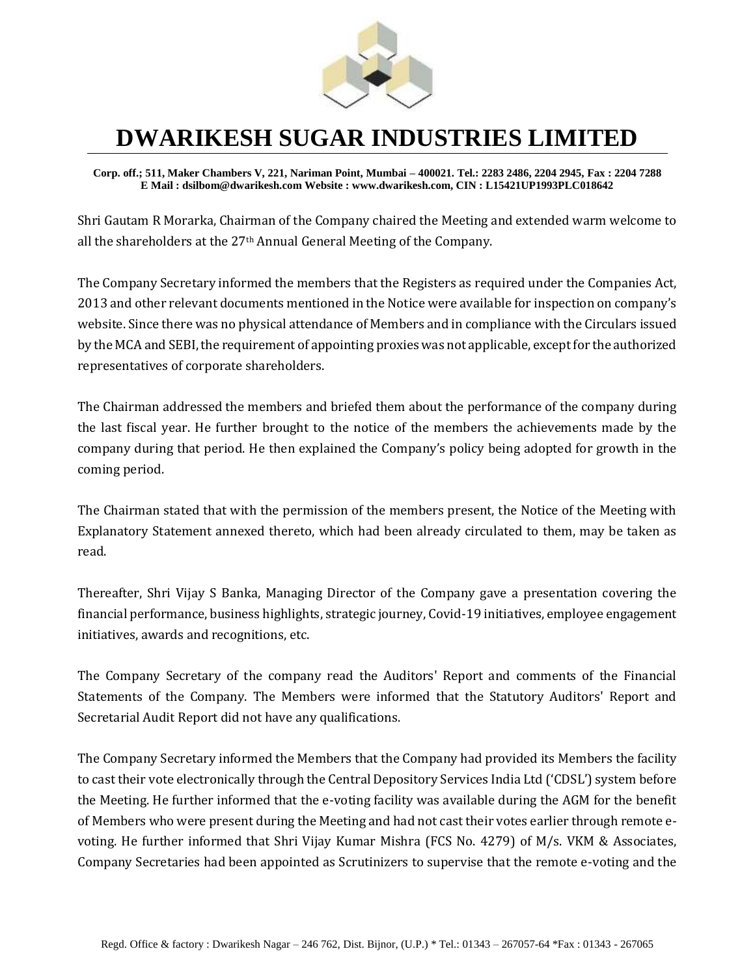

**Corp. off.; 511, Maker Chambers V, 221, Nariman Point, Mumbai – 400021. Tel.: 2283 2486, 2204 2945, Fax : 2204 7288 E Mail : dsilbom@dwarikesh.com Website : www.dwarikesh.com, CIN : L15421UP1993PLC018642**

Shri Gautam R Morarka, Chairman of the Company chaired the Meeting and extended warm welcome to all the shareholders at the 27th Annual General Meeting of the Company.

The Company Secretary informed the members that the Registers as required under the Companies Act, 2013 and other relevant documents mentioned in the Notice were available for inspection on company's website. Since there was no physical attendance of Members and in compliance with the Circulars issued by the MCA and SEBI, the requirement of appointing proxies was not applicable, except for the authorized representatives of corporate shareholders.

The Chairman addressed the members and briefed them about the performance of the company during the last fiscal year. He further brought to the notice of the members the achievements made by the company during that period. He then explained the Company's policy being adopted for growth in the coming period.

The Chairman stated that with the permission of the members present, the Notice of the Meeting with Explanatory Statement annexed thereto, which had been already circulated to them, may be taken as read.

Thereafter, Shri Vijay S Banka, Managing Director of the Company gave a presentation covering the financial performance, business highlights, strategic journey, Covid-19 initiatives, employee engagement initiatives, awards and recognitions, etc.

The Company Secretary of the company read the Auditors' Report and comments of the Financial Statements of the Company. The Members were informed that the Statutory Auditors' Report and Secretarial Audit Report did not have any qualifications.

The Company Secretary informed the Members that the Company had provided its Members the facility to cast their vote electronically through the Central Depository Services India Ltd ('CDSL') system before the Meeting. He further informed that the e-voting facility was available during the AGM for the benefit of Members who were present during the Meeting and had not cast their votes earlier through remote evoting. He further informed that Shri Vijay Kumar Mishra (FCS No. 4279) of M/s. VKM & Associates, Company Secretaries had been appointed as Scrutinizers to supervise that the remote e-voting and the